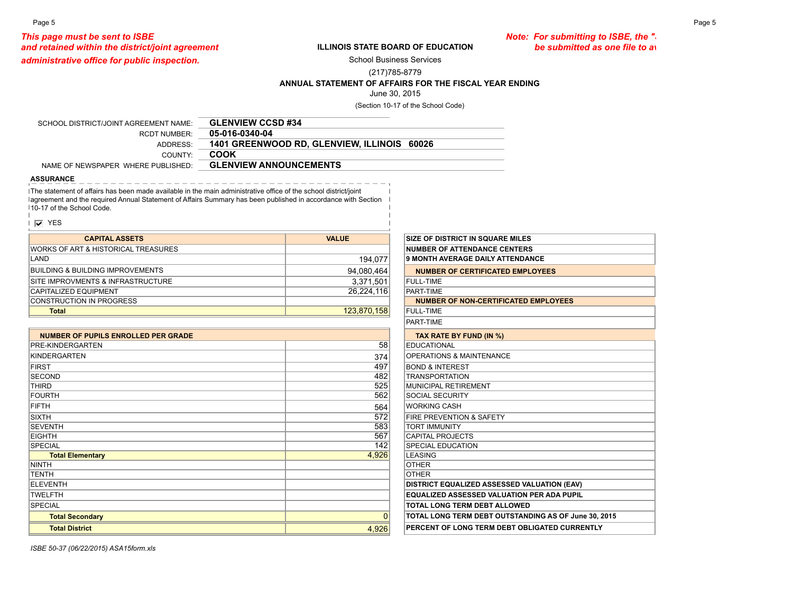Page 5 Page 5

*This page must be sent to ISBE*<br>ILLINOIS STATE BOARD OF EDUCATION *Note: For submitting to ISBE, the "***Statement of Affairs"** cand retained within the district/joint agreement *and retained within the district/joint agreement be submitted as one file to avoid separating worksheets.*

*administrative office for public inspection.* 

## **ILLINOIS STATE BOARD OF EDUCATION**

School Business Services

(217)785-8779

**ANNUAL STATEMENT OF AFFAIRS FOR THE FISCAL YEAR ENDING**

June 30, 2015

(Section 10-17 of the School Code)

| SCHOOL DISTRICT/JOINT AGREEMENT NAME: | <b>GLENVIEW CCSD #34</b>                    |
|---------------------------------------|---------------------------------------------|
| RCDT NUMBER                           | 05-016-0340-04                              |
| ADDRESS:                              | 1401 GREENWOOD RD, GLENVIEW, ILLINOIS 60026 |
| COUNTY <sup>.</sup>                   | COOK                                        |
| NAME OF NEWSPAPER WHERE PUBLISHED:    | <b>GLENVIEW ANNOUNCEMENTS</b>               |

## **ASSURANCE**

The statement of affairs has been made available in the main administrative office of the school district/joint lagreement and the required Annual Statement of Affairs Summary has been published in accordance with Section 10-17 of the School Code.

|  | ÷ |
|--|---|
|--|---|

| <b>CAPITAL ASSETS</b>                           | <b>VALUE</b> | <b>SIZE OF DISTRICT IN SQUARE MILES</b> |
|-------------------------------------------------|--------------|-----------------------------------------|
| <b>IWORKS OF ART &amp; HISTORICAL TREASURES</b> |              | <b>NUMBER OF ATTENDANCE CENTERS</b>     |
| LAND                                            | 194.077      | 9 MONTH AVERAGE DAILY ATTENDANCE        |
| BUILDING & BUILDING IMPROVEMENTS                | 94,080,464   | NUMBER OF CERTIFICATED EMPLOYEES        |
| ISITE IMPROVMENTS & INFRASTRUCTURE              | 3,371,501    | FULL-TIME                               |
| <b>CAPITALIZED EQUIPMENT</b>                    | 26.224.116   | PART-TIME                               |
| <b>CONSTRUCTION IN PROGRESS</b>                 |              | NUMBER OF NON-CERTIFICATED EMPLOYEES    |
| <b>Total</b>                                    | 123,870,158  | FULL-TIME                               |
|                                                 |              |                                         |

| <b>NUMBER OF PUPILS ENROLLED PER GRADE</b> |          | TAX RATE BY FUND (IN %)                            |
|--------------------------------------------|----------|----------------------------------------------------|
| PRE-KINDERGARTEN                           | 58       | <b>EDUCATIONAL</b>                                 |
| KINDERGARTEN                               | 374      | <b>OPERATIONS &amp; MAINTENANCE</b>                |
| <b>FIRST</b>                               | 497      | <b>BOND &amp; INTEREST</b>                         |
| <b>SECOND</b>                              | 482      | <b>TRANSPORTATION</b>                              |
| <b>THIRD</b>                               | 525      | MUNICIPAL RETIREMENT                               |
| <b>FOURTH</b>                              | 562      | <b>SOCIAL SECURITY</b>                             |
| FIFTH                                      | 564      | <b>WORKING CASH</b>                                |
| <b>SIXTH</b>                               | 572      | <b>FIRE PREVENTION &amp; SAFETY</b>                |
| <b>SEVENTH</b>                             | 583      | <b>TORT IMMUNITY</b>                               |
| <b>EIGHTH</b>                              | 567      | <b>CAPITAL PROJECTS</b>                            |
| <b>SPECIAL</b>                             | 142      | <b>SPECIAL EDUCATION</b>                           |
| <b>Total Elementary</b>                    | 4,926    | <b>LEASING</b>                                     |
| NINTH                                      |          | <b>OTHER</b>                                       |
| <b>TENTH</b>                               |          | <b>OTHER</b>                                       |
| ELEVENTH                                   |          | <b>DISTRICT EQUALIZED ASSESSED VALUATION (EAV)</b> |
| <b>TWELFTH</b>                             |          | <b>EQUALIZED ASSESSED VALUATION PER ADA PUPIL</b>  |
| <b>SPECIAL</b>                             |          | TOTAL LONG TERM DEBT ALLOWED                       |
| <b>Total Secondary</b>                     | $\Omega$ | <b>TOTAL LONG TERM DEBT OUTSTANDING AS OF Jun</b>  |
| <b>Total District</b>                      | 4,926    | PERCENT OF LONG TERM DEBT OBLIGATED CURRI          |
|                                            |          |                                                    |

|            | <b>SIZE OF DISTRICT IN SQUARE MILES</b>              |  |
|------------|------------------------------------------------------|--|
|            | <b>NUMBER OF ATTENDANCE CENTERS</b>                  |  |
| 194,077    | <b>9 MONTH AVERAGE DAILY ATTENDANCE</b>              |  |
| 94,080,464 | <b>NUMBER OF CERTIFICATED EMPLOYEES</b>              |  |
| 3,371,501  | <b>FULL-TIME</b>                                     |  |
| 26,224,116 | PART-TIME                                            |  |
|            | <b>NUMBER OF NON-CERTIFICATED EMPLOYEES</b>          |  |
| 23,870,158 | <b>FULL-TIME</b>                                     |  |
|            | PART-TIME                                            |  |
|            | TAX RATE BY FUND (IN %)                              |  |
| 58         | <b>EDUCATIONAL</b>                                   |  |
| 374        | <b>OPERATIONS &amp; MAINTENANCE</b>                  |  |
| 497        | <b>BOND &amp; INTEREST</b>                           |  |
| 482        | <b>TRANSPORTATION</b>                                |  |
| 525        | MUNICIPAL RETIREMENT                                 |  |
| 562        | <b>SOCIAL SECURITY</b>                               |  |
| 564        | <b>WORKING CASH</b>                                  |  |
| 572        | FIRE PREVENTION & SAFETY                             |  |
| 583        | <b>TORT IMMUNITY</b>                                 |  |
| 567        | <b>CAPITAL PROJECTS</b>                              |  |
| 142        | SPECIAL EDUCATION                                    |  |
| 4,926      | <b>LEASING</b>                                       |  |
|            | <b>OTHER</b>                                         |  |
|            | <b>OTHER</b>                                         |  |
|            | DISTRICT EQUALIZED ASSESSED VALUATION (EAV)          |  |
|            | <b>EQUALIZED ASSESSED VALUATION PER ADA PUPIL</b>    |  |
|            | <b>TOTAL LONG TERM DEBT ALLOWED</b>                  |  |
|            | TOTAL LONG TERM DEBT OUTSTANDING AS OF June 30, 2015 |  |
| 4926       | PERCENT OF LONG TERM DEBT OBLIGATED CURRENTLY        |  |

*ISBE 50-37 (06/22/2015) ASA15form.xls*